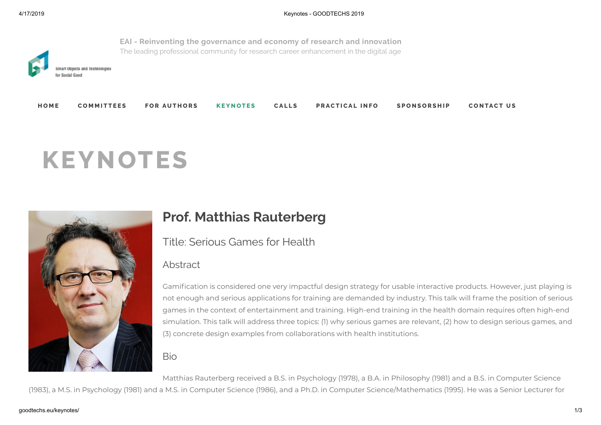

# **KEYNOTES**



## **Prof. Matthias Rauterberg**

Title: Serious Games for Health

### Abstract

Gamification is considered one very impactful design strategy for usable interactive products. However, just playing is not enough and serious applications for training are demanded by industry. This talk will frame the position of serious games in the context of entertainment and training. High-end training in the health domain requires often high-end simulation. This talk will address three topics: (1) why serious games are relevant, (2) how to design serious games, and (3) concrete design examples from collaborations with health institutions.

#### Bio

Matthias Rauterberg received a B.S. in Psychology (1978), a B.A. in Philosophy (1981) and a B.S. in Computer Science

(1983), a M.S. in Psychology (1981) and a M.S. in Computer Science (1986), and a Ph.D. in Computer Science/Mathematics (1995). He was a Senior Lecturer for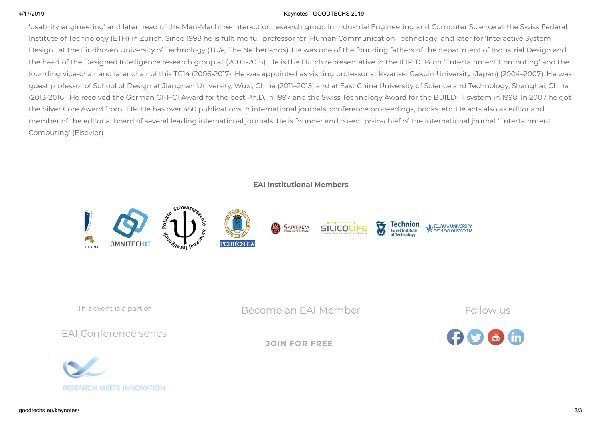#### 4/17/2019 Keynotes - GOODTECHS 2019

'usability engineering' and later head of the Man-Machine-Interaction research group in Industrial Engineering and Computer Science at the Swiss Federal Institute of Technology (ETH) in Zurich. Since 1998 he is fulltime full professor for 'Human Communication Technology' and later for 'Interactive System Design' at the Eindhoven University of Technology (TU/e, The Netherlands). He was one of the founding fathers of the department of Industrial Design and the head of the Designed Intelligence research group at (2006-2016). He is the Dutch representative in the IFIP TC14 on 'Entertainment Computing' and the founding vice-chair and later chair of this TC14 (2006-2017). He was appointed as visiting professor at Kwansei Gakuin University (Japan) (2004–2007). He was guest professor of School of Design at Jiangnan University, Wuxi, China (2011–2015) and at East China University of Science and Technology, Shanghai, China (2013-2016). He received the German GI-HCI Award for the best Ph.D. in 1997 and the Swiss Technology Award for the BUILD-IT system in 1998. In 2007 he got the Silver Core Award from IFIP. He has over 450 publications in international journals, conference proceedings, books, etc. He acts also as editor and member of the editorial board of several leading international journals. He is founder and co-editor-in-chief of the international journal 'Entertainment Computing' (Elsevier)